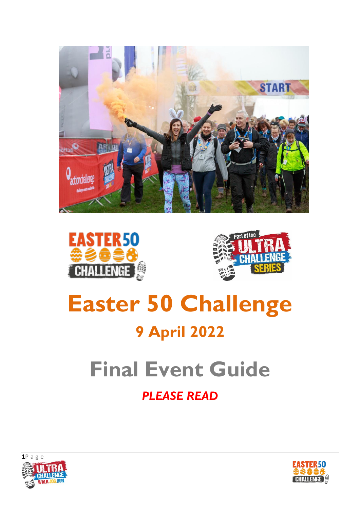





# **Easter 50 Challenge 9 April 2022**

# **Final Event Guide**

# *PLEASE READ*



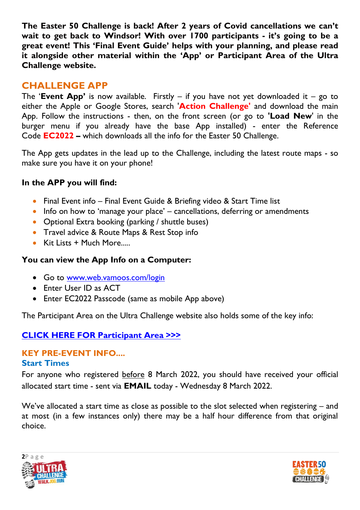**The Easter 50 Challenge is back! After 2 years of Covid cancellations we can't wait to get back to Windsor! With over 1700 participants - it's going to be a great event! This 'Final Event Guide' helps with your planning, and please read it alongside other material within the 'App' or Participant Area of the Ultra Challenge website.** 

# **CHALLENGE APP**

The **'Event App'** is now available. Firstly – if you have not yet downloaded it – go to either the Apple or Google Stores, search '**Action Challenge'** and download the main App. Follow the instructions - then, on the front screen (or go to **'Load New**' in the burger menu if you already have the base App installed) - enter the Reference Code **EC2022 –** which downloads all the info for the Easter 50 Challenge.

The App gets updates in the lead up to the Challenge, including the latest route maps - so make sure you have it on your phone!

#### **In the APP you will find:**

- Final Event info Final Event Guide & Briefing video & Start Time list
- $\bullet$  Info on how to 'manage your place' cancellations, deferring or amendments
- Optional Extra booking (parking / shuttle buses)
- **Travel advice & Route Maps & Rest Stop info**
- Kit Lists  $+$  Much More.....

#### **You can view the App Info on a Computer:**

- Go to [www.web.vamoos.com/login](http://www.web.vamoos.com/login)
- Enter User ID as ACT
- Enter EC2022 Passcode (same as mobile App above)

The Participant Area on the Ultra Challenge website also holds some of the key info:

#### **[CLICK HERE FOR Participant Area >>>](https://www.ultrachallenge.com/participant-area/easter-50-challenge-participant-area/)**

# **KEY PRE-EVENT INFO....**

#### **Start Times**

For anyone who registered before 8 March 2022, you should have received your official allocated start time - sent via **EMAIL** today - Wednesday 8 March 2022.

We've allocated a start time as close as possible to the slot selected when registering – and at most (in a few instances only) there may be a half hour difference from that original choice.



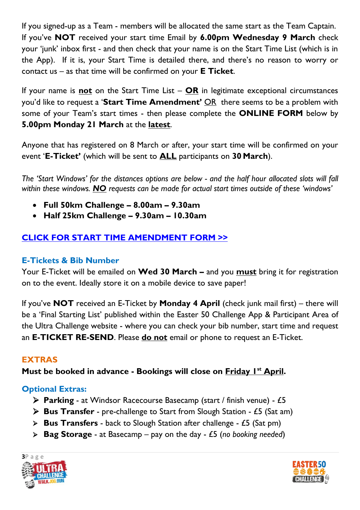If you signed-up as a Team - members will be allocated the same start as the Team Captain. If you've **NOT** received your start time Email by **6.00pm Wednesday 9 March** check your 'junk' inbox first - and then check that your name is on the Start Time List (which is in the App). If it is, your Start Time is detailed there, and there's no reason to worry or contact us – as that time will be confirmed on your **E Ticket**.

If your name is **not** on the Start Time List – **OR** in legitimate exceptional circumstances you'd like to request a '**Start Time Amendment'** OR there seems to be a problem with some of your Team's start times - then please complete the **ONLINE FORM** below by **5.00pm Monday 21 March** at the **latest**.

Anyone that has registered on 8 March or after, your start time will be confirmed on your event '**E-Ticket'** (which will be sent to **ALL** participants on **30 March**).

*The 'Start Windows' for the distances options are below - and the half hour allocated slots will fall within these windows. NO requests can be made for actual start times outside of these 'windows'*

- **Full 50km Challenge – 8.00am – 9.30am**
- **Half 25km Challenge – 9.30am – 10.30am**

# **[CLICK FOR START TIME AMENDMENT FORM >>](https://airtable.com/shrXp92byAMwUP4Rv)**

# **E-Tickets & Bib Number**

Your E-Ticket will be emailed on **Wed 30 March –** and you **must** bring it for registration on to the event. Ideally store it on a mobile device to save paper!

If you've **NOT** received an E-Ticket by **Monday 4 April** (check junk mail first) – there will be a 'Final Starting List' published within the Easter 50 Challenge App & Participant Area of the Ultra Challenge website - where you can check your bib number, start time and request an **E-TICKET RE-SEND**. Please **do not** email or phone to request an E-Ticket.

# **EXTRAS**

**Must be booked in advance - Bookings will close on Friday 1st April.**

# **Optional Extras:**

- **Parking** at Windsor Racecourse Basecamp (start / finish venue) £5
- **Bus Transfer** pre-challenge to Start from Slough Station £5 (Sat am)
- **Bus Transfers** back to Slough Station after challenge £5 (Sat pm)
- **Bag Storage** at Basecamp pay on the day £5 (*no booking needed*)



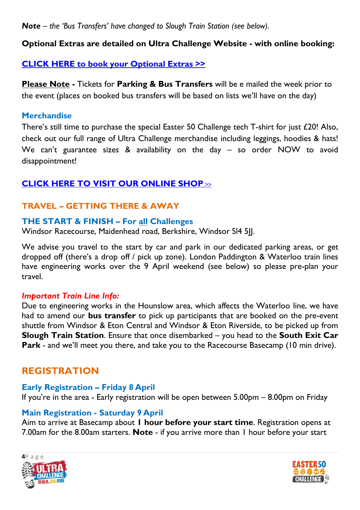*Note – the 'Bus Transfers' have changed to Slough Train Station (see below).*

#### **Optional Extras are detailed on Ultra Challenge Website - with online booking:**

#### **[CLICK HERE to book your Optional Extras >>](https://www.ultrachallenge.com/easter-challenge/bookable-extras/)**

**Please Note -** Tickets for **Parking & Bus Transfers** will be e mailed the week prior to the event (places on booked bus transfers will be based on lists we'll have on the day)

#### **Merchandise**

There's still time to purchase the special Easter 50 Challenge tech T-shirt for just £20! Also, check out our full range of Ultra Challenge merchandise including leggings, hoodies & hats! We can't guarantee sizes & availability on the day - so order NOW to avoid disappointment!

# **[CLICK HERE TO VISIT OUR ONLINE SHOP](https://action-challenge-store.myshopify.com/?_ga=2.174027488.251636658.1556526362-347708532.1543833565)** >>

# **TRAVEL – GETTING THERE & AWAY**

#### **THE START & FINISH – For all Challenges**

Windsor Racecourse, Maidenhead road, Berkshire, Windsor Sl4 5JJ.

We advise you travel to the start by car and park in our dedicated parking areas, or get dropped off (there's a drop off / pick up zone). London Paddington & Waterloo train lines have engineering works over the 9 April weekend (see below) so please pre-plan your travel.

#### *Important Train Line Info:*

Due to engineering works in the Hounslow area, which affects the Waterloo line, we have had to amend our **bus transfer** to pick up participants that are booked on the pre-event shuttle from Windsor & Eton Central and Windsor & Eton Riverside, to be picked up from **Slough Train Station**. Ensure that once disembarked – you head to the **South Exit Car Park** - and we'll meet you there, and take you to the Racecourse Basecamp (10 min drive).

# **REGISTRATION**

#### **Early Registration – Friday 8 April**

If you're in the area - Early registration will be open between 5.00pm – 8.00pm on Friday

#### **Main Registration - Saturday 9 April**

Aim to arrive at Basecamp about **1 hour before your start time**. Registration opens at 7.00am for the 8.00am starters. **Note** - if you arrive more than 1 hour before your start



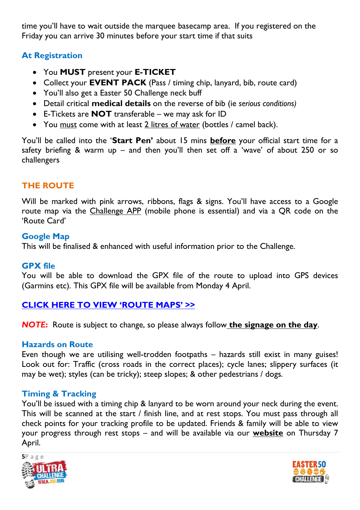time you'll have to wait outside the marquee basecamp area. If you registered on the Friday you can arrive 30 minutes before your start time if that suits

# **At Registration**

- You **MUST** present your **E-TICKET**
- Collect your **EVENT PACK** (Pass / timing chip, lanyard, bib, route card)
- You'll also get a Easter 50 Challenge neck buff
- Detail critical **medical details** on the reverse of bib (ie *serious conditions)*
- E-Tickets are **NOT** transferable we may ask for ID
- You must come with at least 2 litres of water (bottles / camel back).

You'll be called into the '**Start Pen'** about 15 mins **before** your official start time for a safety briefing & warm up – and then you'll then set off a 'wave' of about 250 or so challengers

# **THE ROUTE**

Will be marked with pink arrows, ribbons, flags & signs. You'll have access to a Google route map via the Challenge APP (mobile phone is essential) and via a QR code on the 'Route Card'

#### **Google Map**

This will be finalised & enhanced with useful information prior to the Challenge.

#### **GPX file**

You will be able to download the GPX file of the route to upload into GPS devices (Garmins etc). This GPX file will be available from Monday 4 April.

# **[CLICK HERE TO VIEW](https://www.ultrachallenge.com/easter-challenge/challenge-options/) 'ROUTE MAPS' >>**

*NOTE***:** Route is subject to change, so please always follow **the signage on the day**.

#### **Hazards on Route**

Even though we are utilising well-trodden footpaths – hazards still exist in many guises! Look out for: Traffic (cross roads in the correct places); cycle lanes; slippery surfaces (it may be wet); styles (can be tricky); steep slopes; & other pedestrians / dogs.

# **Timing & Tracking**

You'll be issued with a timing chip & lanyard to be worn around your neck during the event. This will be scanned at the start / finish line, and at rest stops. You must pass through all check points for your tracking profile to be updated. Friends & family will be able to view your progress through rest stops – and will be available via our **website** on Thursday 7 April.



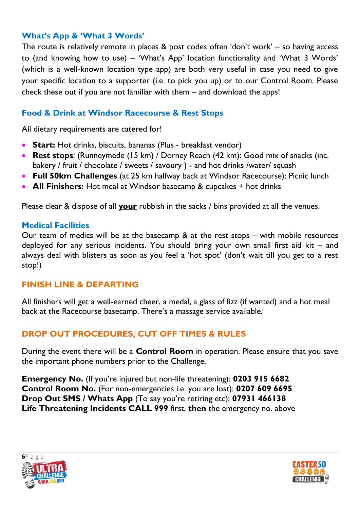#### **What's App & 'What 3 Words'**

The route is relatively remote in places & post codes often 'don't work' – so having access to (and knowing how to use) – 'What's App' location functionality and 'What 3 Words' (which is a well-known location type app) are both very useful in case you need to give your specific location to a supporter (i.e. to pick you up) or to our Control Room. Please check these out if you are not familiar with them – and download the apps!

#### **Food & Drink at Windsor Racecourse & Rest Stops**

All dietary requirements are catered for!

- **Start:** Hot drinks, biscuits, bananas (Plus breakfast vendor)
- **Rest stops**: (Runneymede (15 km) / Dorney Reach (42 km): Good mix of snacks (inc. bakery / fruit / chocolate / sweets / savoury ) - and hot drinks /water/ squash
- **Full 50km Challenges** (at 25 km halfway back at Windsor Racecourse): Picnic lunch
- **All Finishers:** Hot meal at Windsor basecamp & cupcakes + hot drinks

Please clear & dispose of all **your** rubbish in the sacks / bins provided at all the venues.

#### **Medical Facilities**

Our team of medics will be at the basecamp & at the rest stops – with mobile resources deployed for any serious incidents. You should bring your own small first aid kit – and always deal with blisters as soon as you feel a 'hot spot' (don't wait till you get to a rest stop!)

#### **FINISH LINE & DEPARTING**

All finishers will get a well-earned cheer, a medal, a glass of fizz (if wanted) and a hot meal back at the Racecourse basecamp. There's a massage service available.

# **DROP OUT PROCEDURES, CUT OFF TIMES & RULES**

During the event there will be a **Control Room** in operation. Please ensure that you save the important phone numbers prior to the Challenge.

**Emergency No.** (If you're injured but non-life threatening): **0203 915 6682 Control Room No.** (For non-emergencies i.e. you are lost): **0207 609 6695 Drop Out SMS / Whats App** (To say you're retiring etc): **07931 466138 Life Threatening Incidents CALL 999** first, **then** the emergency no. above



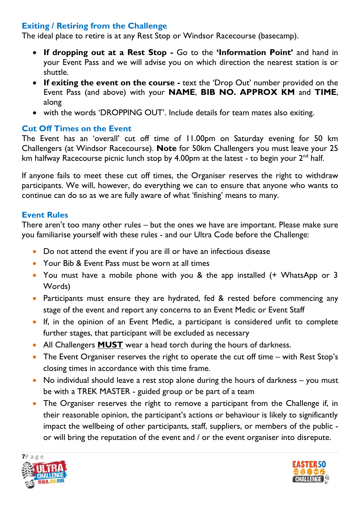# **Exiting / Retiring from the Challenge**

The ideal place to retire is at any Rest Stop or Windsor Racecourse (basecamp).

- **If dropping out at a Rest Stop -** Go to the **'Information Point'** and hand in your Event Pass and we will advise you on which direction the nearest station is or shuttle.
- **If exiting the event on the course -** text the 'Drop Out' number provided on the Event Pass (and above) with your **NAME**, **BIB NO. APPROX KM** and **TIME**, along
- with the words 'DROPPING OUT'. Include details for team mates also exiting.

#### **Cut Off Times on the Event**

The Event has an 'overall' cut off time of 11.00pm on Saturday evening for 50 km Challengers (at Windsor Racecourse). **Note** for 50km Challengers you must leave your 25 km halfway Racecourse picnic lunch stop by 4.00pm at the latest - to begin your  $2^{nd}$  half.

If anyone fails to meet these cut off times, the Organiser reserves the right to withdraw participants. We will, however, do everything we can to ensure that anyone who wants to continue can do so as we are fully aware of what 'finishing' means to many.

#### **Event Rules**

There aren't too many other rules – but the ones we have are important. Please make sure you familiarise yourself with these rules - and our Ultra Code before the Challenge:

- Do not attend the event if you are ill or have an infectious disease
- Your Bib & Event Pass must be worn at all times
- You must have a mobile phone with you & the app installed (+ WhatsApp or 3 Words)
- Participants must ensure they are hydrated, fed & rested before commencing any stage of the event and report any concerns to an Event Medic or Event Staff
- If, in the opinion of an Event Medic, a participant is considered unfit to complete further stages, that participant will be excluded as necessary
- All Challengers **MUST** wear a head torch during the hours of darkness.
- The Event Organiser reserves the right to operate the cut off time with Rest Stop's closing times in accordance with this time frame.
- No individual should leave a rest stop alone during the hours of darkness you must be with a TREK MASTER - guided group or be part of a team
- The Organiser reserves the right to remove a participant from the Challenge if, in their reasonable opinion, the participant's actions or behaviour is likely to significantly impact the wellbeing of other participants, staff, suppliers, or members of the public or will bring the reputation of the event and / or the event organiser into disrepute.



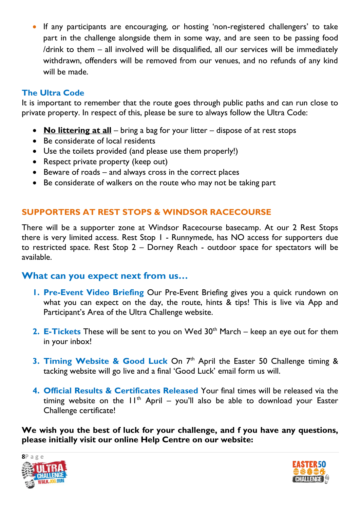If any participants are encouraging, or hosting 'non-registered challengers' to take part in the challenge alongside them in some way, and are seen to be passing food /drink to them – all involved will be disqualified, all our services will be immediately withdrawn, offenders will be removed from our venues, and no refunds of any kind will be made.

# **The Ultra Code**

It is important to remember that the route goes through public paths and can run close to private property. In respect of this, please be sure to always follow the Ultra Code:

- **No littering at all** bring a bag for your litter dispose of at rest stops
- Be considerate of local residents
- Use the toilets provided (and please use them properly!)
- Respect private property (keep out)
- Beware of roads and always cross in the correct places
- Be considerate of walkers on the route who may not be taking part

# **SUPPORTERS AT REST STOPS & WINDSOR RACECOURSE**

There will be a supporter zone at Windsor Racecourse basecamp. At our 2 Rest Stops there is very limited access. Rest Stop 1 - Runnymede, has NO access for supporters due to restricted space. Rest Stop 2 – Dorney Reach - outdoor space for spectators will be available.

# **What can you expect next from us…**

- **1. Pre-Event Video Briefing** Our Pre-Event Briefing gives you a quick rundown on what you can expect on the day, the route, hints & tips! This is live via App and Participant's Area of the Ultra Challenge website.
- **2. E-Tickets** These will be sent to you on Wed 30<sup>th</sup> March keep an eye out for them in your inbox!
- **3. Timing Website & Good Luck** On 7<sup>th</sup> April the Easter 50 Challenge timing & tacking website will go live and a final 'Good Luck' email form us will.
- **4. Official Results & Certificates Released** Your final times will be released via the timing website on the  $11<sup>th</sup>$  April – you'll also be able to download your Easter Challenge certificate!

**We wish you the best of luck for your challenge, and f you have any questions, please initially visit our online Help Centre on our website:**